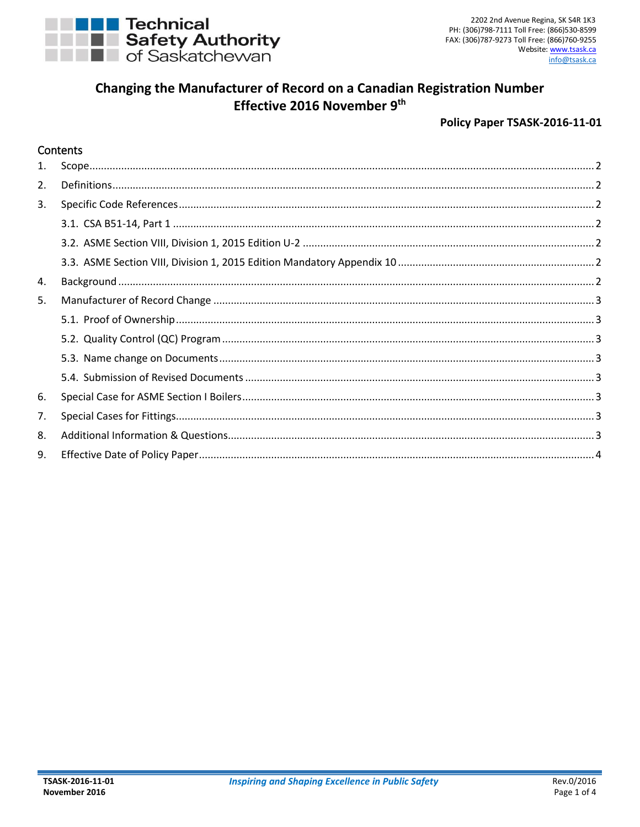

# Changing the Manufacturer of Record on a Canadian Registration Number Effective 2016 November 9th

#### Policy Paper TSASK-2016-11-01

#### Contents

| $\mathbf{1}$ . |  |
|----------------|--|
| 2.             |  |
| 3.             |  |
|                |  |
|                |  |
|                |  |
| 4.             |  |
| 5.             |  |
|                |  |
|                |  |
|                |  |
|                |  |
| 6.             |  |
| 7.             |  |
| 8.             |  |
| 9.             |  |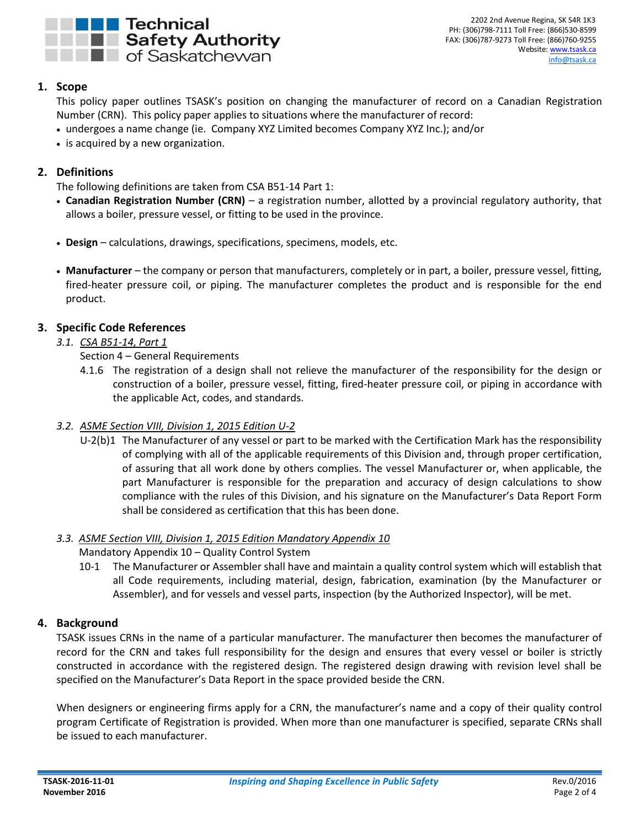

# <span id="page-1-0"></span>**1. Scope**

This policy paper outlines TSASK's position on changing the manufacturer of record on a Canadian Registration Number (CRN). This policy paper applies to situations where the manufacturer of record:

- undergoes a name change (ie. Company XYZ Limited becomes Company XYZ Inc.); and/or
- is acquired by a new organization.

# <span id="page-1-1"></span>**2. Definitions**

The following definitions are taken from CSA B51-14 Part 1:

- **Canadian Registration Number (CRN)** a registration number, allotted by a provincial regulatory authority, that allows a boiler, pressure vessel, or fitting to be used in the province.
- **Design** calculations, drawings, specifications, specimens, models, etc.
- **Manufacturer** the company or person that manufacturers, completely or in part, a boiler, pressure vessel, fitting, fired-heater pressure coil, or piping. The manufacturer completes the product and is responsible for the end product.

# <span id="page-1-3"></span><span id="page-1-2"></span>**3. Specific Code References**

# *3.1. CSA B51-14, Part 1*

Section 4 – General Requirements

4.1.6 The registration of a design shall not relieve the manufacturer of the responsibility for the design or construction of a boiler, pressure vessel, fitting, fired-heater pressure coil, or piping in accordance with the applicable Act, codes, and standards.

### <span id="page-1-4"></span>*3.2. ASME Section VIII, Division 1, 2015 Edition U-2*

U-2(b)1 The Manufacturer of any vessel or part to be marked with the Certification Mark has the responsibility of complying with all of the applicable requirements of this Division and, through proper certification, of assuring that all work done by others complies. The vessel Manufacturer or, when applicable, the part Manufacturer is responsible for the preparation and accuracy of design calculations to show compliance with the rules of this Division, and his signature on the Manufacturer's Data Report Form shall be considered as certification that this has been done.

### <span id="page-1-5"></span>*3.3. ASME Section VIII, Division 1, 2015 Edition Mandatory Appendix 10*

### Mandatory Appendix 10 – Quality Control System

10-1 The Manufacturer or Assembler shall have and maintain a quality control system which will establish that all Code requirements, including material, design, fabrication, examination (by the Manufacturer or Assembler), and for vessels and vessel parts, inspection (by the Authorized Inspector), will be met.

### <span id="page-1-6"></span>**4. Background**

TSASK issues CRNs in the name of a particular manufacturer. The manufacturer then becomes the manufacturer of record for the CRN and takes full responsibility for the design and ensures that every vessel or boiler is strictly constructed in accordance with the registered design. The registered design drawing with revision level shall be specified on the Manufacturer's Data Report in the space provided beside the CRN.

When designers or engineering firms apply for a CRN, the manufacturer's name and a copy of their quality control program Certificate of Registration is provided. When more than one manufacturer is specified, separate CRNs shall be issued to each manufacturer.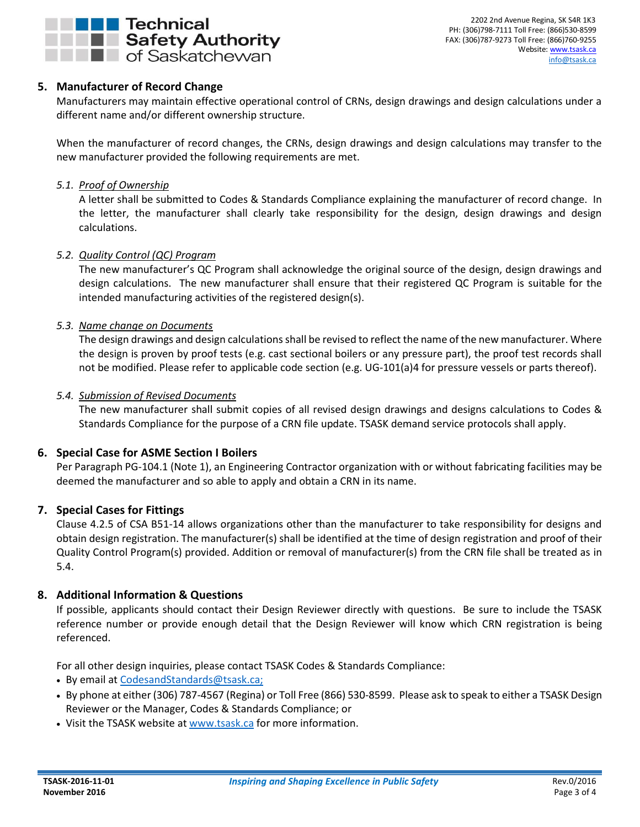

# <span id="page-2-0"></span>**5. Manufacturer of Record Change**

Manufacturers may maintain effective operational control of CRNs, design drawings and design calculations under a different name and/or different ownership structure.

When the manufacturer of record changes, the CRNs, design drawings and design calculations may transfer to the new manufacturer provided the following requirements are met.

#### <span id="page-2-1"></span>*5.1. Proof of Ownership*

A letter shall be submitted to Codes & Standards Compliance explaining the manufacturer of record change. In the letter, the manufacturer shall clearly take responsibility for the design, design drawings and design calculations.

#### <span id="page-2-2"></span>*5.2. Quality Control (QC) Program*

The new manufacturer's QC Program shall acknowledge the original source of the design, design drawings and design calculations. The new manufacturer shall ensure that their registered QC Program is suitable for the intended manufacturing activities of the registered design(s).

#### <span id="page-2-3"></span>*5.3. Name change on Documents*

The design drawings and design calculations shall be revised to reflect the name of the new manufacturer. Where the design is proven by proof tests (e.g. cast sectional boilers or any pressure part), the proof test records shall not be modified. Please refer to applicable code section (e.g. UG-101(a)4 for pressure vessels or parts thereof).

#### <span id="page-2-4"></span>*5.4. Submission of Revised Documents*

The new manufacturer shall submit copies of all revised design drawings and designs calculations to Codes & Standards Compliance for the purpose of a CRN file update. TSASK demand service protocols shall apply.

### <span id="page-2-5"></span>**6. Special Case for ASME Section I Boilers**

Per Paragraph PG-104.1 (Note 1), an Engineering Contractor organization with or without fabricating facilities may be deemed the manufacturer and so able to apply and obtain a CRN in its name.

#### <span id="page-2-6"></span>**7. Special Cases for Fittings**

Clause 4.2.5 of CSA B51-14 allows organizations other than the manufacturer to take responsibility for designs and obtain design registration. The manufacturer(s) shall be identified at the time of design registration and proof of their Quality Control Program(s) provided. Addition or removal of manufacturer(s) from the CRN file shall be treated as in 5.4.

### <span id="page-2-7"></span>**8. Additional Information & Questions**

If possible, applicants should contact their Design Reviewer directly with questions. Be sure to include the TSASK reference number or provide enough detail that the Design Reviewer will know which CRN registration is being referenced.

For all other design inquiries, please contact TSASK Codes & Standards Compliance:

- By email at [CodesandStandards@tsask.ca;](mailto:CodesandStandards@tsask.ca)
- By phone at either (306) 787-4567 (Regina) or Toll Free (866) 530-8599. Please ask to speak to either a TSASK Design Reviewer or the Manager, Codes & Standards Compliance; or
- Visit the TSASK website at [www.tsask.ca](http://www.tsask.ca/) for more information.